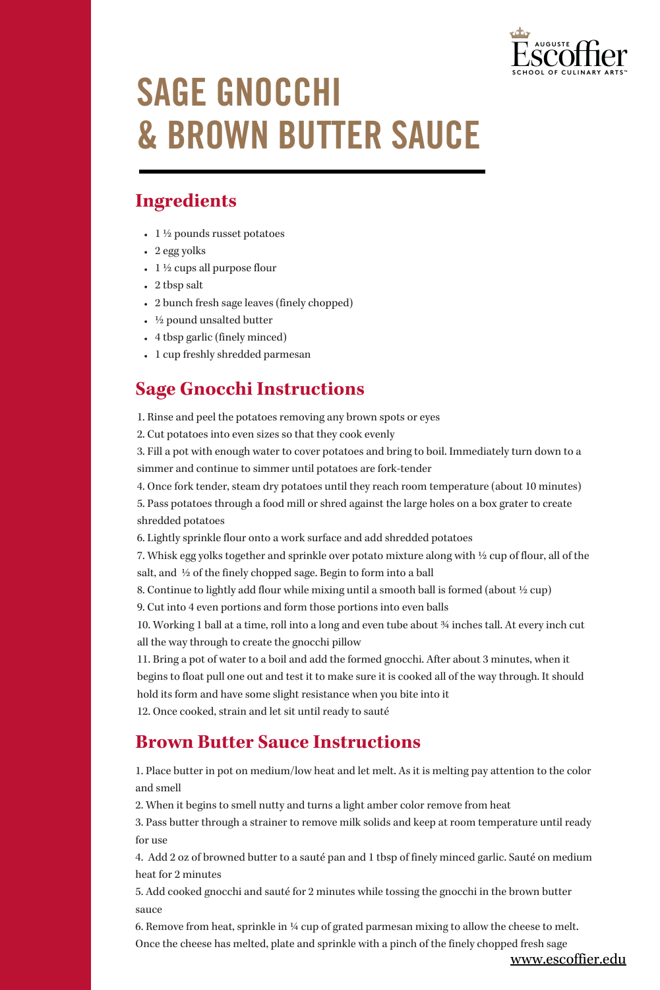

## SAGE GNOCCHI & BROWN BUTTER SAUCE

## **Ingredients**

- $1\frac{1}{2}$  pounds russet potatoes
- 2 egg yolks
- $1\frac{1}{2}$  cups all purpose flour
- 2 tbsp salt
- 2 bunch fresh sage leaves (finely chopped)
- ½ pound unsalted butter
- 4 tbsp garlic (finely minced)
- 1 cup freshly shredded parmesan

### **Sage Gnocchi Instructions**

- 1. Rinse and peel the potatoes removing any brown spots or eyes
- 2. Cut potatoes into even sizes so that they cook evenly

3. Fill a pot with enough water to cover potatoes and bring to boil. Immediately turn down to a simmer and continue to simmer until potatoes are fork-tender

4. Once fork tender, steam dry potatoes until they reach room temperature (about 10 minutes)

5. Pass potatoes through a food mill or shred against the large holes on a box grater to create shredded potatoes

6. Lightly sprinkle flour onto a work surface and add shredded potatoes

7. Whisk egg yolks together and sprinkle over potato mixture along with ½ cup of flour, all of the salt, and ½ of the finely chopped sage. Begin to form into a ball

8. Continue to lightly add flour while mixing until a smooth ball is formed (about  $\frac{1}{2}$  cup)

9. Cut into 4 even portions and form those portions into even balls

10. Working 1 ball at a time, roll into a long and even tube about ¾ inches tall. At every inch cut all the way through to create the gnocchi pillow

11. Bring a pot of water to a boil and add the formed gnocchi. After about 3 minutes, when it begins to float pull one out and test it to make sure it is cooked all of the way through. It should hold its form and have some slight resistance when you bite into it

12. Once cooked, strain and let sit until ready to sauté

### **Brown Butter Sauce Instructions**

1. Place butter in pot on medium/low heat and let melt. As it is melting pay attention to the color and smell

2. When it begins to smell nutty and turns a light amber color remove from heat

3. Pass butter through a strainer to remove milk solids and keep at room temperature until ready for use

4. Add 2 oz of browned butter to a sauté pan and 1 tbsp of finely minced garlic. Sauté on medium heat for 2 minutes

5. Add cooked gnocchi and sauté for 2 minutes while tossing the gnocchi in the brown butter sauce

6. Remove from heat, sprinkle in  $\frac{1}{4}$  cup of grated parmesan mixing to allow the cheese to melt. Once the cheese has melted, plate and sprinkle with a pinch of the finely chopped fresh sage